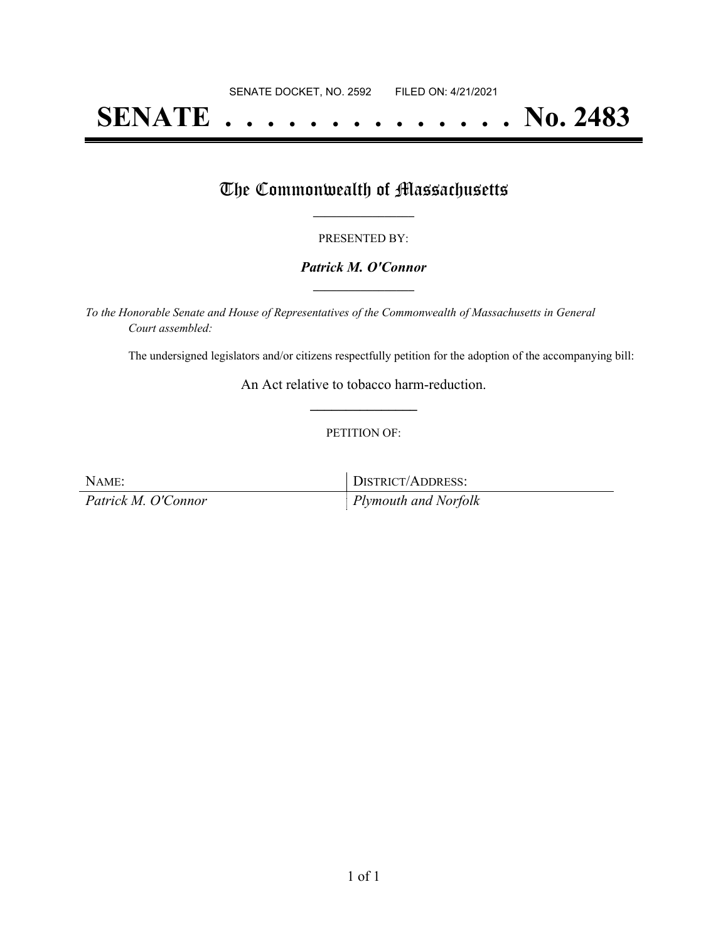# **SENATE . . . . . . . . . . . . . . No. 2483**

### The Commonwealth of Massachusetts

#### PRESENTED BY:

#### *Patrick M. O'Connor* **\_\_\_\_\_\_\_\_\_\_\_\_\_\_\_\_\_**

*To the Honorable Senate and House of Representatives of the Commonwealth of Massachusetts in General Court assembled:*

The undersigned legislators and/or citizens respectfully petition for the adoption of the accompanying bill:

An Act relative to tobacco harm-reduction. **\_\_\_\_\_\_\_\_\_\_\_\_\_\_\_**

#### PETITION OF:

NAME: DISTRICT/ADDRESS: *Patrick M. O'Connor Plymouth and Norfolk*